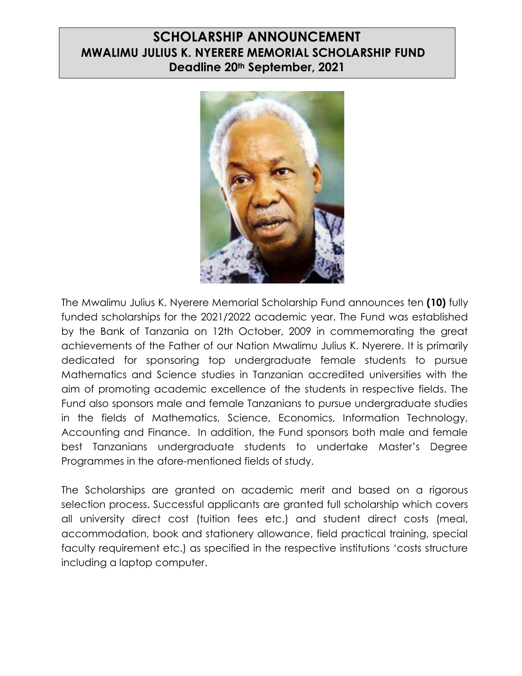# **SCHOLARSHIP ANNOUNCEMENT MWALIMU JULIUS K. NYERERE MEMORIAL SCHOLARSHIP FUND Deadline 20th September, 2021**



The Mwalimu Julius K. Nyerere Memorial Scholarship Fund announces ten **(10)** fully funded scholarships for the 2021/2022 academic year. The Fund was established by the Bank of Tanzania on 12th October, 2009 in commemorating the great achievements of the Father of our Nation Mwalimu Julius K. Nyerere. It is primarily dedicated for sponsoring top undergraduate female students to pursue Mathematics and Science studies in Tanzanian accredited universities with the aim of promoting academic excellence of the students in respective fields. The Fund also sponsors male and female Tanzanians to pursue undergraduate studies in the fields of Mathematics, Science, Economics, Information Technology, Accounting and Finance. In addition, the Fund sponsors both male and female best Tanzanians undergraduate students to undertake Master's Degree Programmes in the afore-mentioned fields of study.

The Scholarships are granted on academic merit and based on a rigorous selection process. Successful applicants are granted full scholarship which covers all university direct cost (tuition fees etc.) and student direct costs (meal, accommodation, book and stationery allowance, field practical training, special faculty requirement etc.) as specified in the respective institutions 'costs structure including a laptop computer.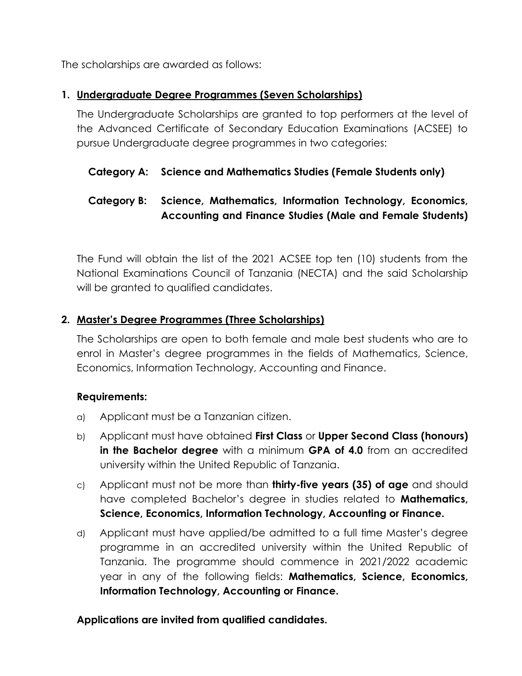The scholarships are awarded as follows:

### **1. Undergraduate Degree Programmes (Seven Scholarships)**

The Undergraduate Scholarships are granted to top performers at the level of the Advanced Certificate of Secondary Education Examinations (ACSEE) to pursue Undergraduate degree programmes in two categories:

## **Category A: Science and Mathematics Studies (Female Students only)**

# **Category B: Science, Mathematics, Information Technology, Economics, Accounting and Finance Studies (Male and Female Students)**

The Fund will obtain the list of the 2021 ACSEE top ten (10) students from the National Examinations Council of Tanzania (NECTA) and the said Scholarship will be granted to qualified candidates.

#### **2. Master's Degree Programmes (Three Scholarships)**

The Scholarships are open to both female and male best students who are to enrol in Master's degree programmes in the fields of Mathematics, Science, Economics, Information Technology, Accounting and Finance.

#### **Requirements:**

- a) Applicant must be a Tanzanian citizen.
- b) Applicant must have obtained **First Class** or **Upper Second Class (honours) in the Bachelor degree** with a minimum **GPA of 4.0** from an accredited university within the United Republic of Tanzania.
- c) Applicant must not be more than **thirty-five years (35) of age** and should have completed Bachelor's degree in studies related to **Mathematics, Science, Economics, Information Technology, Accounting or Finance.**
- d) Applicant must have applied/be admitted to a full time Master's degree programme in an accredited university within the United Republic of Tanzania. The programme should commence in 2021/2022 academic year in any of the following fields: **Mathematics, Science, Economics, Information Technology, Accounting or Finance.**

#### **Applications are invited from qualified candidates.**